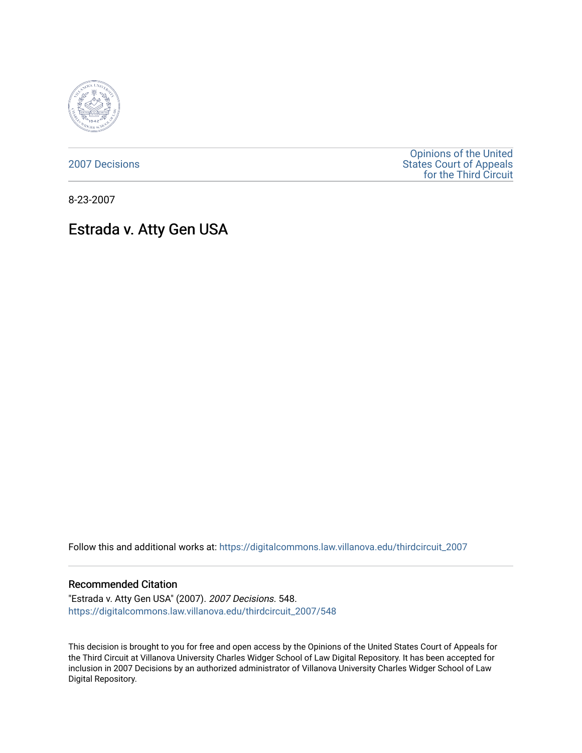

[2007 Decisions](https://digitalcommons.law.villanova.edu/thirdcircuit_2007)

[Opinions of the United](https://digitalcommons.law.villanova.edu/thirdcircuit)  [States Court of Appeals](https://digitalcommons.law.villanova.edu/thirdcircuit)  [for the Third Circuit](https://digitalcommons.law.villanova.edu/thirdcircuit) 

8-23-2007

# Estrada v. Atty Gen USA

Follow this and additional works at: [https://digitalcommons.law.villanova.edu/thirdcircuit\\_2007](https://digitalcommons.law.villanova.edu/thirdcircuit_2007?utm_source=digitalcommons.law.villanova.edu%2Fthirdcircuit_2007%2F548&utm_medium=PDF&utm_campaign=PDFCoverPages) 

#### Recommended Citation

"Estrada v. Atty Gen USA" (2007). 2007 Decisions. 548. [https://digitalcommons.law.villanova.edu/thirdcircuit\\_2007/548](https://digitalcommons.law.villanova.edu/thirdcircuit_2007/548?utm_source=digitalcommons.law.villanova.edu%2Fthirdcircuit_2007%2F548&utm_medium=PDF&utm_campaign=PDFCoverPages)

This decision is brought to you for free and open access by the Opinions of the United States Court of Appeals for the Third Circuit at Villanova University Charles Widger School of Law Digital Repository. It has been accepted for inclusion in 2007 Decisions by an authorized administrator of Villanova University Charles Widger School of Law Digital Repository.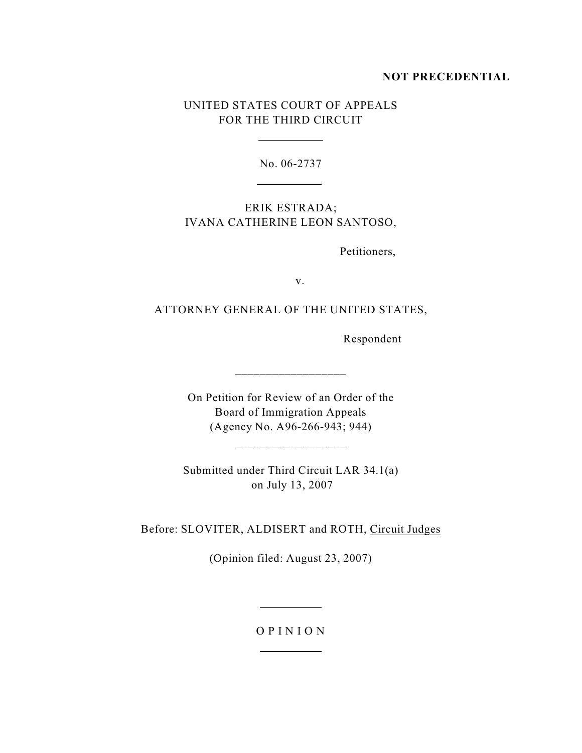# **NOT PRECEDENTIAL**

# UNITED STATES COURT OF APPEALS FOR THE THIRD CIRCUIT

 $\overline{a}$ 

 $\overline{a}$ 

No. 06-2737

ERIK ESTRADA; IVANA CATHERINE LEON SANTOSO,

Petitioners,

v.

# ATTORNEY GENERAL OF THE UNITED STATES,

Respondent

On Petition for Review of an Order of the Board of Immigration Appeals (Agency No. A96-266-943; 944)

 $\_$ 

\_\_\_\_\_\_\_\_\_\_\_\_\_\_\_\_\_\_

Submitted under Third Circuit LAR 34.1(a) on July 13, 2007

Before: SLOVITER, ALDISERT and ROTH, Circuit Judges

(Opinion filed: August 23, 2007)

### O P I N I O N

 $\overline{a}$ 

 $\overline{a}$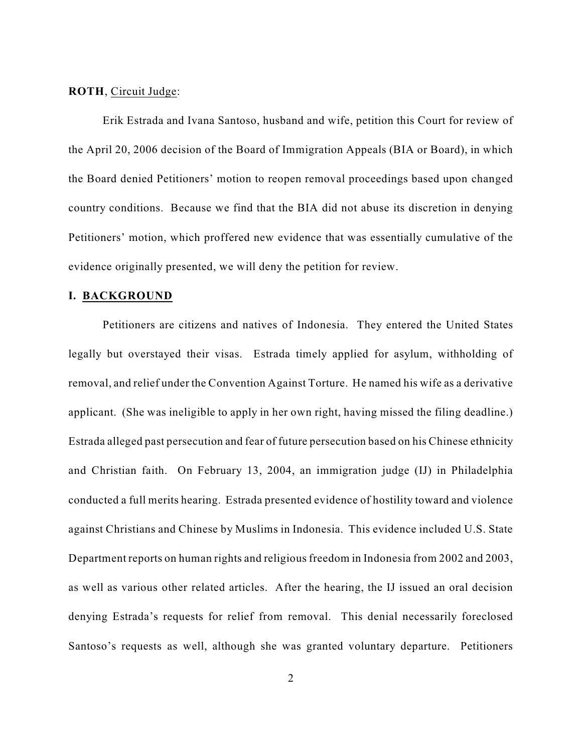#### **ROTH**, Circuit Judge:

Erik Estrada and Ivana Santoso, husband and wife, petition this Court for review of the April 20, 2006 decision of the Board of Immigration Appeals (BIA or Board), in which the Board denied Petitioners' motion to reopen removal proceedings based upon changed country conditions. Because we find that the BIA did not abuse its discretion in denying Petitioners' motion, which proffered new evidence that was essentially cumulative of the evidence originally presented, we will deny the petition for review.

#### **I. BACKGROUND**

Petitioners are citizens and natives of Indonesia. They entered the United States legally but overstayed their visas. Estrada timely applied for asylum, withholding of removal, and relief under the Convention Against Torture. He named his wife as a derivative applicant. (She was ineligible to apply in her own right, having missed the filing deadline.) Estrada alleged past persecution and fear of future persecution based on his Chinese ethnicity and Christian faith. On February 13, 2004, an immigration judge (IJ) in Philadelphia conducted a full merits hearing. Estrada presented evidence of hostility toward and violence against Christians and Chinese by Muslims in Indonesia. This evidence included U.S. State Department reports on human rights and religious freedom in Indonesia from 2002 and 2003, as well as various other related articles. After the hearing, the IJ issued an oral decision denying Estrada's requests for relief from removal. This denial necessarily foreclosed Santoso's requests as well, although she was granted voluntary departure. Petitioners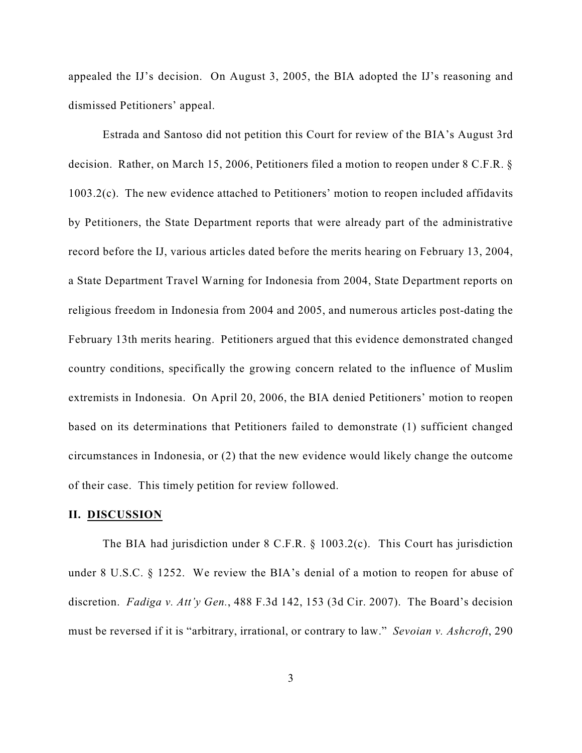appealed the IJ's decision. On August 3, 2005, the BIA adopted the IJ's reasoning and dismissed Petitioners' appeal.

Estrada and Santoso did not petition this Court for review of the BIA's August 3rd decision. Rather, on March 15, 2006, Petitioners filed a motion to reopen under 8 C.F.R. § 1003.2(c). The new evidence attached to Petitioners' motion to reopen included affidavits by Petitioners, the State Department reports that were already part of the administrative record before the IJ, various articles dated before the merits hearing on February 13, 2004, a State Department Travel Warning for Indonesia from 2004, State Department reports on religious freedom in Indonesia from 2004 and 2005, and numerous articles post-dating the February 13th merits hearing. Petitioners argued that this evidence demonstrated changed country conditions, specifically the growing concern related to the influence of Muslim extremists in Indonesia. On April 20, 2006, the BIA denied Petitioners' motion to reopen based on its determinations that Petitioners failed to demonstrate (1) sufficient changed circumstances in Indonesia, or (2) that the new evidence would likely change the outcome of their case. This timely petition for review followed.

#### **II. DISCUSSION**

The BIA had jurisdiction under 8 C.F.R. § 1003.2(c). This Court has jurisdiction under 8 U.S.C. § 1252. We review the BIA's denial of a motion to reopen for abuse of discretion. *Fadiga v. Att'y Gen.*, 488 F.3d 142, 153 (3d Cir. 2007). The Board's decision must be reversed if it is "arbitrary, irrational, or contrary to law." *Sevoian v. Ashcroft*, 290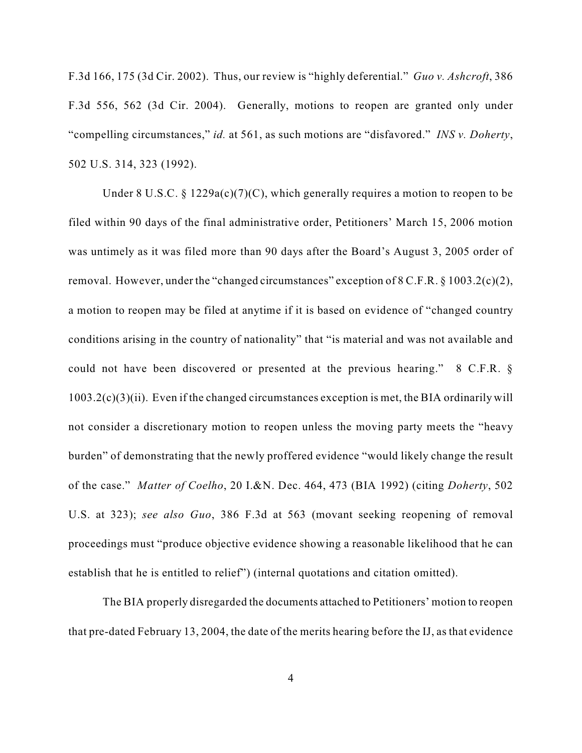F.3d 166, 175 (3d Cir. 2002). Thus, our review is "highly deferential." *Guo v. Ashcroft*, 386 F.3d 556, 562 (3d Cir. 2004). Generally, motions to reopen are granted only under "compelling circumstances," *id.* at 561, as such motions are "disfavored." *INS v. Doherty*, 502 U.S. 314, 323 (1992).

Under 8 U.S.C. § 1229a(c)(7)(C), which generally requires a motion to reopen to be filed within 90 days of the final administrative order, Petitioners' March 15, 2006 motion was untimely as it was filed more than 90 days after the Board's August 3, 2005 order of removal. However, under the "changed circumstances" exception of 8 C.F.R. § 1003.2(c)(2), a motion to reopen may be filed at anytime if it is based on evidence of "changed country conditions arising in the country of nationality" that "is material and was not available and could not have been discovered or presented at the previous hearing." 8 C.F.R. §  $1003.2(c)(3)(ii)$ . Even if the changed circumstances exception is met, the BIA ordinarily will not consider a discretionary motion to reopen unless the moving party meets the "heavy burden" of demonstrating that the newly proffered evidence "would likely change the result of the case." *Matter of Coelho*, 20 I.&N. Dec. 464, 473 (BIA 1992) (citing *Doherty*, 502 U.S. at 323); *see also Guo*, 386 F.3d at 563 (movant seeking reopening of removal proceedings must "produce objective evidence showing a reasonable likelihood that he can establish that he is entitled to relief") (internal quotations and citation omitted).

The BIA properly disregarded the documents attached to Petitioners' motion to reopen that pre-dated February 13, 2004, the date of the merits hearing before the IJ, as that evidence